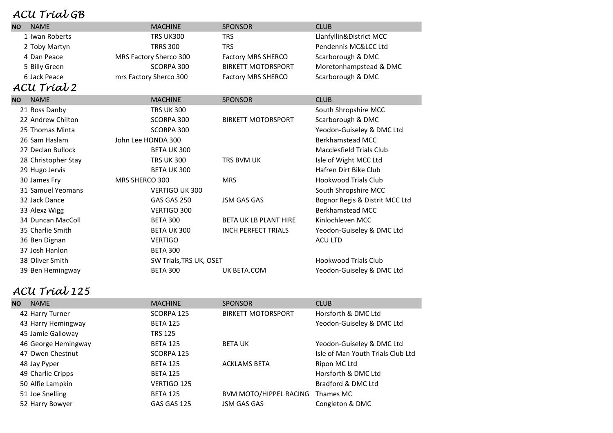### $ACU$  Trial  $CB$

| nca <i>Trawgo</i>        |                        |                           |                                |  |
|--------------------------|------------------------|---------------------------|--------------------------------|--|
| <b>NAME</b><br><b>NO</b> | <b>MACHINE</b>         | <b>SPONSOR</b>            | <b>CLUB</b>                    |  |
| 1 Iwan Roberts           | <b>TRS UK300</b>       | TRS                       | Llanfyllin&District MCC        |  |
| 2 Toby Martyn            | <b>TRRS 300</b>        | <b>TRS</b>                | Pendennis MC&LCC Ltd           |  |
| 4 Dan Peace              | MRS Factory Sherco 300 | <b>Factory MRS SHERCO</b> | Scarborough & DMC              |  |
| 5 Billy Green            | SCORPA 300             | <b>BIRKETT MOTORSPORT</b> | Moretonhampstead & DMC         |  |
| 6 Jack Peace             | mrs Factory Sherco 300 | <b>Factory MRS SHERCO</b> | Scarborough & DMC              |  |
| ACU Tríal 2              |                        |                           |                                |  |
| <b>NAME</b><br><b>NO</b> | <b>MACHINE</b>         | <b>SPONSOR</b>            | <b>CLUB</b>                    |  |
| 21 Ross Danby            | <b>TRS UK 300</b>      |                           | South Shropshire MCC           |  |
| 22 Andrew Chilton        | SCORPA 300             | <b>BIRKETT MOTORSPORT</b> | Scarborough & DMC              |  |
| 25 Thomas Minta          | SCORPA 300             |                           | Yeodon-Guiseley & DMC Ltd      |  |
| 26 Sam Haslam            | John Lee HONDA 300     |                           | Berkhamstead MCC               |  |
| 27 Declan Bullock        | BETA UK 300            |                           | Macclesfield Trials Club       |  |
| 28 Christopher Stay      | TRS UK 300             | TRS BVM UK                | Isle of Wight MCC Ltd          |  |
| 29 Hugo Jervis           | <b>BETA UK300</b>      |                           | Hafren Dirt Bike Club          |  |
| 30 James Fry             | MRS SHERCO 300         | <b>MRS</b>                | <b>Hookwood Trials Club</b>    |  |
| 31 Samuel Yeomans        | <b>VERTIGO UK 300</b>  |                           | South Shropshire MCC           |  |
| 32 Jack Dance            | GAS GAS 250            | <b>JSM GAS GAS</b>        | Bognor Regis & Distrit MCC Ltd |  |

33 Alexz Wigg 
Berkhamstead MCC

and the VERTIGO 300

vERTIGO 300

vERTIGO 300

vERTIGO 300

and the VERTIGO 300

vertigal van de Vertigal van de Vertigal van de Vertigal van de Vertigal van de Vertigal van de Vertigal va 34 Duncan MacColl **BETA 300** BETA 300 BETA UK LB PLANT HIRE Kinlochleven MCC

38 Oliver Smith SW Trials,TRS UK, OSET Hookwood Trials Club

36 Ben Dignan and Acu LTD VERTIGO ACU LTD ACU LTD

35 Charlie Smith BETA UK 300 INCH PERFECT TRIALS Yeodon-Guiseley & DMC Ltd

39 Ben Hemingway BETA 300 UK BETA.COM Yeodon-Guiseley & DMC Ltd

## ACU Trial 125

37 Josh Hanlon BETA 300

| ΝO | <b>NAME</b>         | <b>MACHINE</b>  | <b>SPONSOR</b>            | <b>CLUB</b>                       |
|----|---------------------|-----------------|---------------------------|-----------------------------------|
|    | 42 Harry Turner     | SCORPA 125      | <b>BIRKETT MOTORSPORT</b> | Horsforth & DMC Ltd               |
|    | 43 Harry Hemingway  | <b>BETA 125</b> |                           | Yeodon-Guiseley & DMC Ltd         |
|    | 45 Jamie Galloway   | <b>TRS 125</b>  |                           |                                   |
|    | 46 George Hemingway | <b>BETA 125</b> | <b>BETA UK</b>            | Yeodon-Guiseley & DMC Ltd         |
|    | 47 Owen Chestnut    | SCORPA 125      |                           | Isle of Man Youth Trials Club Ltd |
|    | 48 Jay Pyper        | <b>BETA 125</b> | <b>ACKLAMS BETA</b>       | Ripon MC Ltd                      |
|    | 49 Charlie Cripps   | <b>BETA 125</b> |                           | Horsforth & DMC Ltd               |
|    | 50 Alfie Lampkin    | VERTIGO 125     |                           | Bradford & DMC Ltd                |
|    | 51 Joe Snelling     | <b>BETA 125</b> | BVM MOTO/HIPPEL RACING    | Thames MC                         |
|    | 52 Harry Bowyer     | GAS GAS 125     | <b>JSM GAS GAS</b>        | Congleton & DMC                   |
|    |                     |                 |                           |                                   |